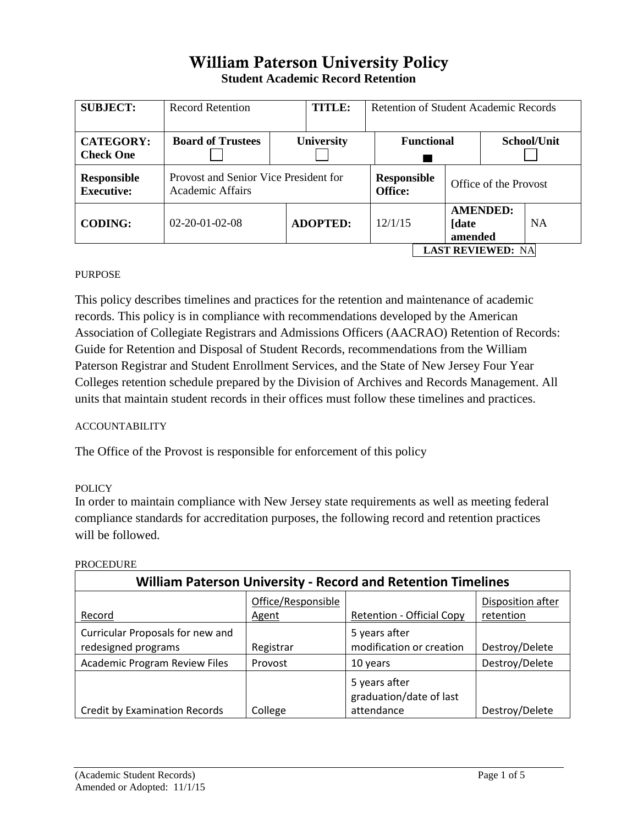# William Paterson University Policy **Student Academic Record Retention**

| <b>SUBJECT:</b>                         | <b>Record Retention</b>                                   | <b>TITLE:</b>     | Retention of Student Academic Records |                                             |                 |           |
|-----------------------------------------|-----------------------------------------------------------|-------------------|---------------------------------------|---------------------------------------------|-----------------|-----------|
| <b>CATEGORY:</b><br><b>Check One</b>    | <b>Board of Trustees</b>                                  | <b>University</b> | <b>Functional</b><br>School/Unit      |                                             |                 |           |
| <b>Responsible</b><br><b>Executive:</b> | Provost and Senior Vice President for<br>Academic Affairs |                   | <b>Office:</b>                        | <b>Responsible</b><br>Office of the Provost |                 |           |
| <b>CODING:</b>                          | $02 - 20 - 01 - 02 - 08$                                  | <b>ADOPTED:</b>   | 12/1/15<br><b>[date</b><br>amended    |                                             | <b>AMENDED:</b> | <b>NA</b> |
| <b>LAST REVIEWED: NA</b>                |                                                           |                   |                                       |                                             |                 |           |

## PURPOSE

This policy describes timelines and practices for the retention and maintenance of academic records. This policy is in compliance with recommendations developed by the American Association of Collegiate Registrars and Admissions Officers (AACRAO) Retention of Records: Guide for Retention and Disposal of Student Records, recommendations from the William Paterson Registrar and Student Enrollment Services, and the State of New Jersey Four Year Colleges retention schedule prepared by the Division of Archives and Records Management. All units that maintain student records in their offices must follow these timelines and practices.

## ACCOUNTABILITY

The Office of the Provost is responsible for enforcement of this policy

## POLICY

In order to maintain compliance with New Jersey state requirements as well as meeting federal compliance standards for accreditation purposes, the following record and retention practices will be followed.

| <b>William Paterson University - Record and Retention Timelines</b> |                             |                                                        |                                |  |  |
|---------------------------------------------------------------------|-----------------------------|--------------------------------------------------------|--------------------------------|--|--|
| Record                                                              | Office/Responsible<br>Agent | <b>Retention - Official Copy</b>                       | Disposition after<br>retention |  |  |
| Curricular Proposals for new and<br>redesigned programs             | Registrar                   | 5 years after<br>modification or creation              | Destroy/Delete                 |  |  |
| <b>Academic Program Review Files</b>                                | Provost                     | 10 years                                               | Destroy/Delete                 |  |  |
| <b>Credit by Examination Records</b>                                | College                     | 5 years after<br>graduation/date of last<br>attendance | Destroy/Delete                 |  |  |

### PROCEDURE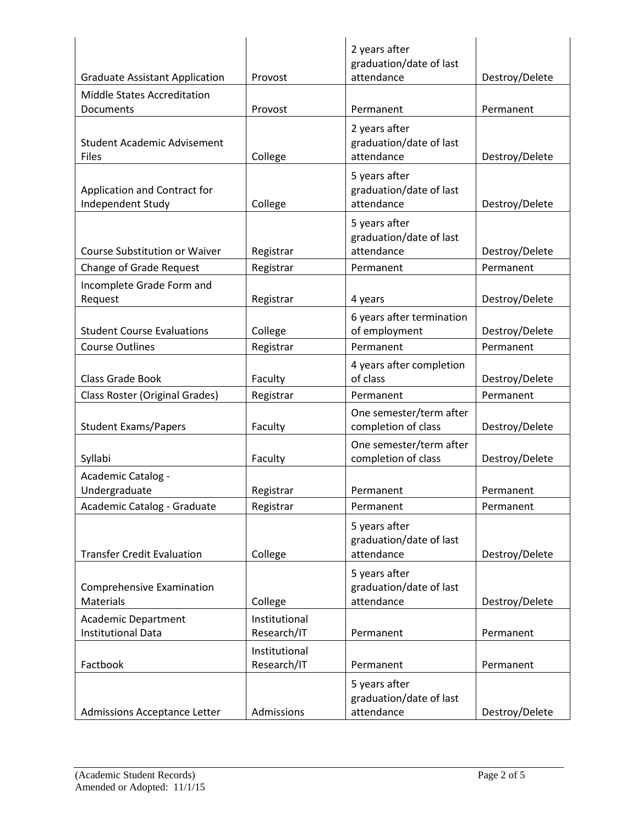|                                                         |                              | 2 years after                            |                |
|---------------------------------------------------------|------------------------------|------------------------------------------|----------------|
| <b>Graduate Assistant Application</b>                   | Provost                      | graduation/date of last<br>attendance    | Destroy/Delete |
| <b>Middle States Accreditation</b>                      |                              |                                          |                |
| Documents                                               | Provost                      | Permanent                                | Permanent      |
|                                                         |                              | 2 years after                            |                |
| <b>Student Academic Advisement</b>                      |                              | graduation/date of last                  |                |
| <b>Files</b>                                            | College                      | attendance                               | Destroy/Delete |
|                                                         |                              | 5 years after                            |                |
| Application and Contract for                            |                              | graduation/date of last                  |                |
| Independent Study                                       | College                      | attendance                               | Destroy/Delete |
|                                                         |                              | 5 years after                            |                |
|                                                         |                              | graduation/date of last                  |                |
| <b>Course Substitution or Waiver</b>                    | Registrar                    | attendance                               | Destroy/Delete |
| <b>Change of Grade Request</b>                          | Registrar                    | Permanent                                | Permanent      |
| Incomplete Grade Form and                               |                              |                                          |                |
| Request                                                 | Registrar                    | 4 years                                  | Destroy/Delete |
|                                                         |                              | 6 years after termination                |                |
| <b>Student Course Evaluations</b>                       | College                      | of employment                            | Destroy/Delete |
| <b>Course Outlines</b>                                  | Registrar                    | Permanent                                | Permanent      |
|                                                         |                              | 4 years after completion                 |                |
| Class Grade Book                                        | Faculty                      | of class                                 | Destroy/Delete |
| Class Roster (Original Grades)                          | Registrar                    | Permanent                                | Permanent      |
|                                                         |                              | One semester/term after                  |                |
| <b>Student Exams/Papers</b>                             | Faculty                      | completion of class                      | Destroy/Delete |
|                                                         |                              | One semester/term after                  |                |
| Syllabi                                                 | Faculty                      | completion of class                      | Destroy/Delete |
| Academic Catalog -                                      |                              |                                          |                |
| Undergraduate                                           | Registrar                    | Permanent                                | Permanent      |
| Academic Catalog - Graduate                             | Registrar                    | Permanent                                | Permanent      |
|                                                         |                              | 5 years after                            |                |
|                                                         |                              | graduation/date of last                  |                |
| <b>Transfer Credit Evaluation</b>                       | College                      | attendance                               | Destroy/Delete |
|                                                         |                              | 5 years after                            |                |
| <b>Comprehensive Examination</b><br><b>Materials</b>    | College                      | graduation/date of last<br>attendance    | Destroy/Delete |
|                                                         |                              |                                          |                |
| <b>Academic Department</b><br><b>Institutional Data</b> | Institutional<br>Research/IT | Permanent                                | Permanent      |
|                                                         | Institutional                |                                          |                |
| Factbook                                                | Research/IT                  | Permanent                                | Permanent      |
|                                                         |                              |                                          |                |
|                                                         |                              | 5 years after<br>graduation/date of last |                |
| Admissions Acceptance Letter                            | Admissions                   | attendance                               | Destroy/Delete |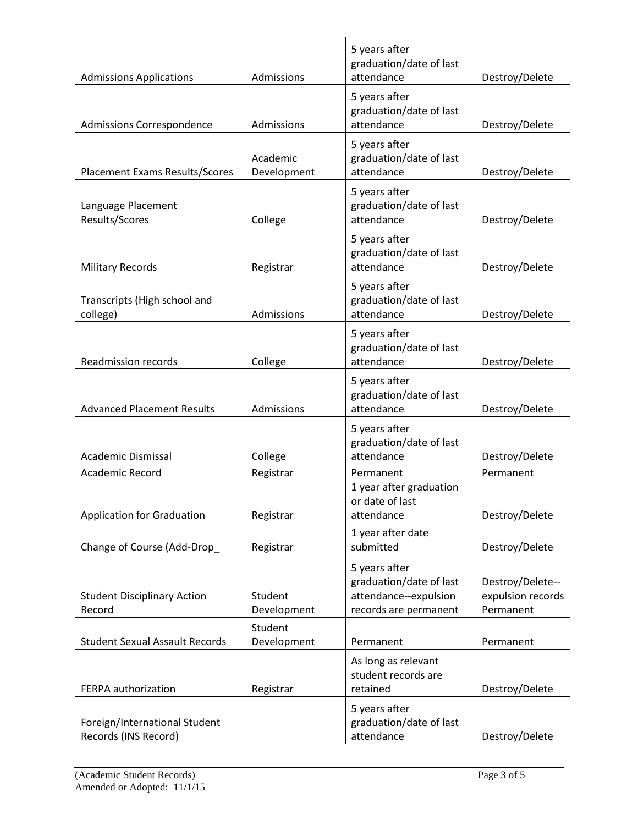| <b>Admissions Applications</b>                        | Admissions              | 5 years after<br>graduation/date of last<br>attendance                                     | Destroy/Delete                                     |
|-------------------------------------------------------|-------------------------|--------------------------------------------------------------------------------------------|----------------------------------------------------|
| Admissions Correspondence                             | Admissions              | 5 years after<br>graduation/date of last<br>attendance                                     | Destroy/Delete                                     |
| <b>Placement Exams Results/Scores</b>                 | Academic<br>Development | 5 years after<br>graduation/date of last<br>attendance                                     | Destroy/Delete                                     |
| Language Placement<br>Results/Scores                  | College                 | 5 years after<br>graduation/date of last<br>attendance                                     | Destroy/Delete                                     |
| <b>Military Records</b>                               | Registrar               | 5 years after<br>graduation/date of last<br>attendance                                     | Destroy/Delete                                     |
| Transcripts (High school and<br>college)              | Admissions              | 5 years after<br>graduation/date of last<br>attendance                                     | Destroy/Delete                                     |
| <b>Readmission records</b>                            | College                 | 5 years after<br>graduation/date of last<br>attendance                                     | Destroy/Delete                                     |
| <b>Advanced Placement Results</b>                     | Admissions              | 5 years after<br>graduation/date of last<br>attendance                                     | Destroy/Delete                                     |
| Academic Dismissal                                    | College                 | 5 years after<br>graduation/date of last<br>attendance                                     | Destroy/Delete                                     |
| <b>Academic Record</b>                                | Registrar               | Permanent                                                                                  | Permanent                                          |
| <b>Application for Graduation</b>                     | Registrar               | 1 year after graduation<br>or date of last<br>attendance                                   | Destroy/Delete                                     |
| Change of Course (Add-Drop                            | Registrar               | 1 year after date<br>submitted                                                             | Destroy/Delete                                     |
| <b>Student Disciplinary Action</b><br>Record          | Student<br>Development  | 5 years after<br>graduation/date of last<br>attendance--expulsion<br>records are permanent | Destroy/Delete--<br>expulsion records<br>Permanent |
| <b>Student Sexual Assault Records</b>                 | Student<br>Development  | Permanent                                                                                  | Permanent                                          |
| FERPA authorization                                   | Registrar               | As long as relevant<br>student records are<br>retained                                     | Destroy/Delete                                     |
| Foreign/International Student<br>Records (INS Record) |                         | 5 years after<br>graduation/date of last<br>attendance                                     | Destroy/Delete                                     |